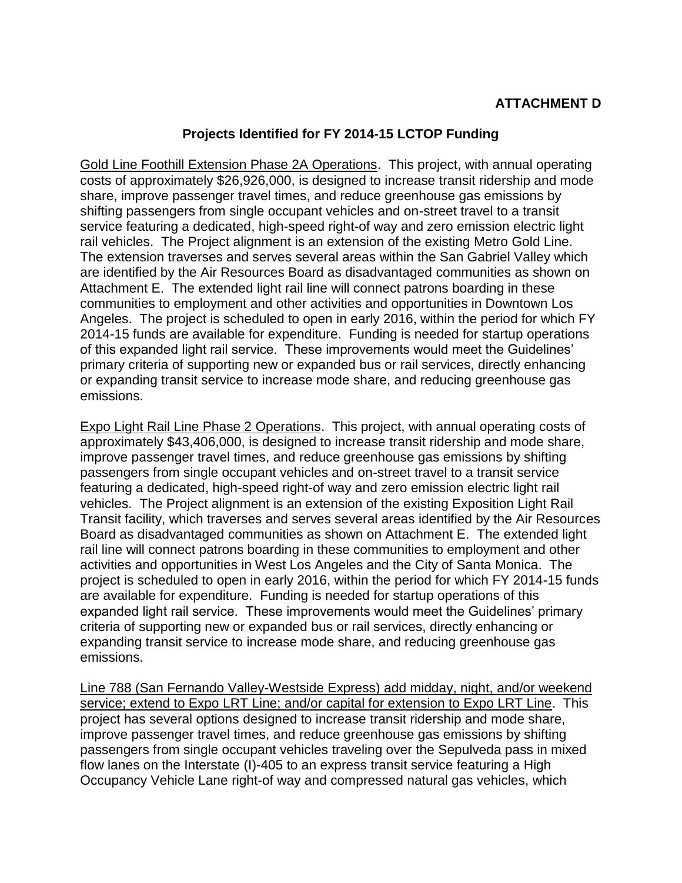## **Projects Identified for FY 2014-15 LCTOP Funding**

Gold Line Foothill Extension Phase 2A Operations. This project, with annual operating costs of approximately \$26,926,000, is designed to increase transit ridership and mode share, improve passenger travel times, and reduce greenhouse gas emissions by shifting passengers from single occupant vehicles and on-street travel to a transit service featuring a dedicated, high-speed right-of way and zero emission electric light rail vehicles. The Project alignment is an extension of the existing Metro Gold Line. The extension traverses and serves several areas within the San Gabriel Valley which are identified by the Air Resources Board as disadvantaged communities as shown on Attachment E. The extended light rail line will connect patrons boarding in these communities to employment and other activities and opportunities in Downtown Los Angeles. The project is scheduled to open in early 2016, within the period for which FY 2014-15 funds are available for expenditure. Funding is needed for startup operations of this expanded light rail service. These improvements would meet the Guidelines' primary criteria of supporting new or expanded bus or rail services, directly enhancing or expanding transit service to increase mode share, and reducing greenhouse gas emissions.

Expo Light Rail Line Phase 2 Operations. This project, with annual operating costs of approximately \$43,406,000, is designed to increase transit ridership and mode share, improve passenger travel times, and reduce greenhouse gas emissions by shifting passengers from single occupant vehicles and on-street travel to a transit service featuring a dedicated, high-speed right-of way and zero emission electric light rail vehicles. The Project alignment is an extension of the existing Exposition Light Rail Transit facility, which traverses and serves several areas identified by the Air Resources Board as disadvantaged communities as shown on Attachment E. The extended light rail line will connect patrons boarding in these communities to employment and other activities and opportunities in West Los Angeles and the City of Santa Monica. The project is scheduled to open in early 2016, within the period for which FY 2014-15 funds are available for expenditure. Funding is needed for startup operations of this expanded light rail service. These improvements would meet the Guidelines' primary criteria of supporting new or expanded bus or rail services, directly enhancing or expanding transit service to increase mode share, and reducing greenhouse gas emissions.

Line 788 (San Fernando Valley-Westside Express) add midday, night, and/or weekend service; extend to Expo LRT Line; and/or capital for extension to Expo LRT Line. This project has several options designed to increase transit ridership and mode share, improve passenger travel times, and reduce greenhouse gas emissions by shifting passengers from single occupant vehicles traveling over the Sepulveda pass in mixed flow lanes on the Interstate (I)-405 to an express transit service featuring a High Occupancy Vehicle Lane right-of way and compressed natural gas vehicles, which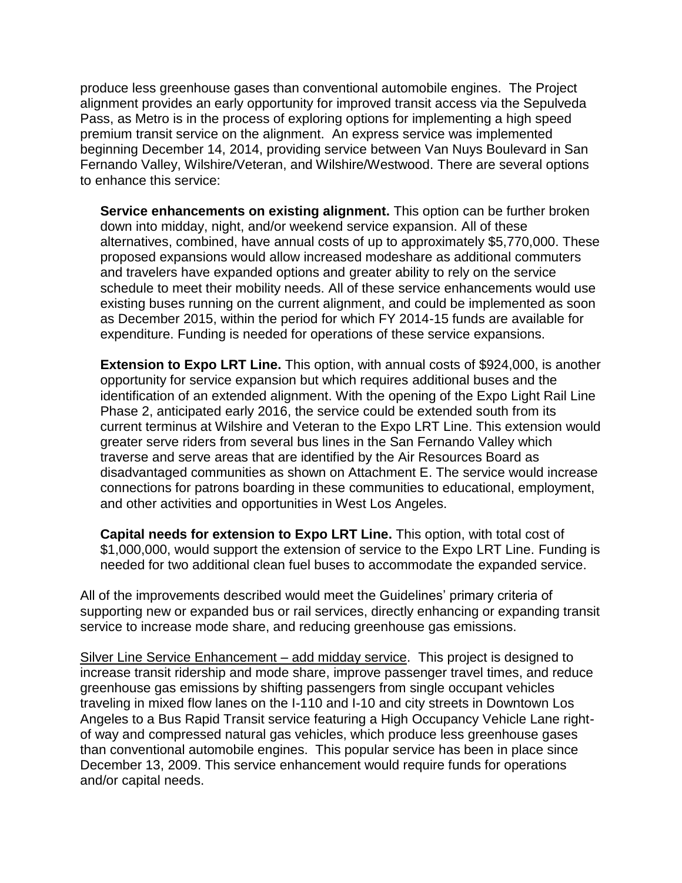produce less greenhouse gases than conventional automobile engines. The Project alignment provides an early opportunity for improved transit access via the Sepulveda Pass, as Metro is in the process of exploring options for implementing a high speed premium transit service on the alignment. An express service was implemented beginning December 14, 2014, providing service between Van Nuys Boulevard in San Fernando Valley, Wilshire/Veteran, and Wilshire/Westwood. There are several options to enhance this service:

**Service enhancements on existing alignment.** This option can be further broken down into midday, night, and/or weekend service expansion. All of these alternatives, combined, have annual costs of up to approximately \$5,770,000. These proposed expansions would allow increased modeshare as additional commuters and travelers have expanded options and greater ability to rely on the service schedule to meet their mobility needs. All of these service enhancements would use existing buses running on the current alignment, and could be implemented as soon as December 2015, within the period for which FY 2014-15 funds are available for expenditure. Funding is needed for operations of these service expansions.

**Extension to Expo LRT Line.** This option, with annual costs of \$924,000, is another opportunity for service expansion but which requires additional buses and the identification of an extended alignment. With the opening of the Expo Light Rail Line Phase 2, anticipated early 2016, the service could be extended south from its current terminus at Wilshire and Veteran to the Expo LRT Line. This extension would greater serve riders from several bus lines in the San Fernando Valley which traverse and serve areas that are identified by the Air Resources Board as disadvantaged communities as shown on Attachment E. The service would increase connections for patrons boarding in these communities to educational, employment, and other activities and opportunities in West Los Angeles.

**Capital needs for extension to Expo LRT Line.** This option, with total cost of \$1,000,000, would support the extension of service to the Expo LRT Line. Funding is needed for two additional clean fuel buses to accommodate the expanded service.

All of the improvements described would meet the Guidelines' primary criteria of supporting new or expanded bus or rail services, directly enhancing or expanding transit service to increase mode share, and reducing greenhouse gas emissions.

Silver Line Service Enhancement – add midday service. This project is designed to increase transit ridership and mode share, improve passenger travel times, and reduce greenhouse gas emissions by shifting passengers from single occupant vehicles traveling in mixed flow lanes on the I-110 and I-10 and city streets in Downtown Los Angeles to a Bus Rapid Transit service featuring a High Occupancy Vehicle Lane rightof way and compressed natural gas vehicles, which produce less greenhouse gases than conventional automobile engines. This popular service has been in place since December 13, 2009. This service enhancement would require funds for operations and/or capital needs.